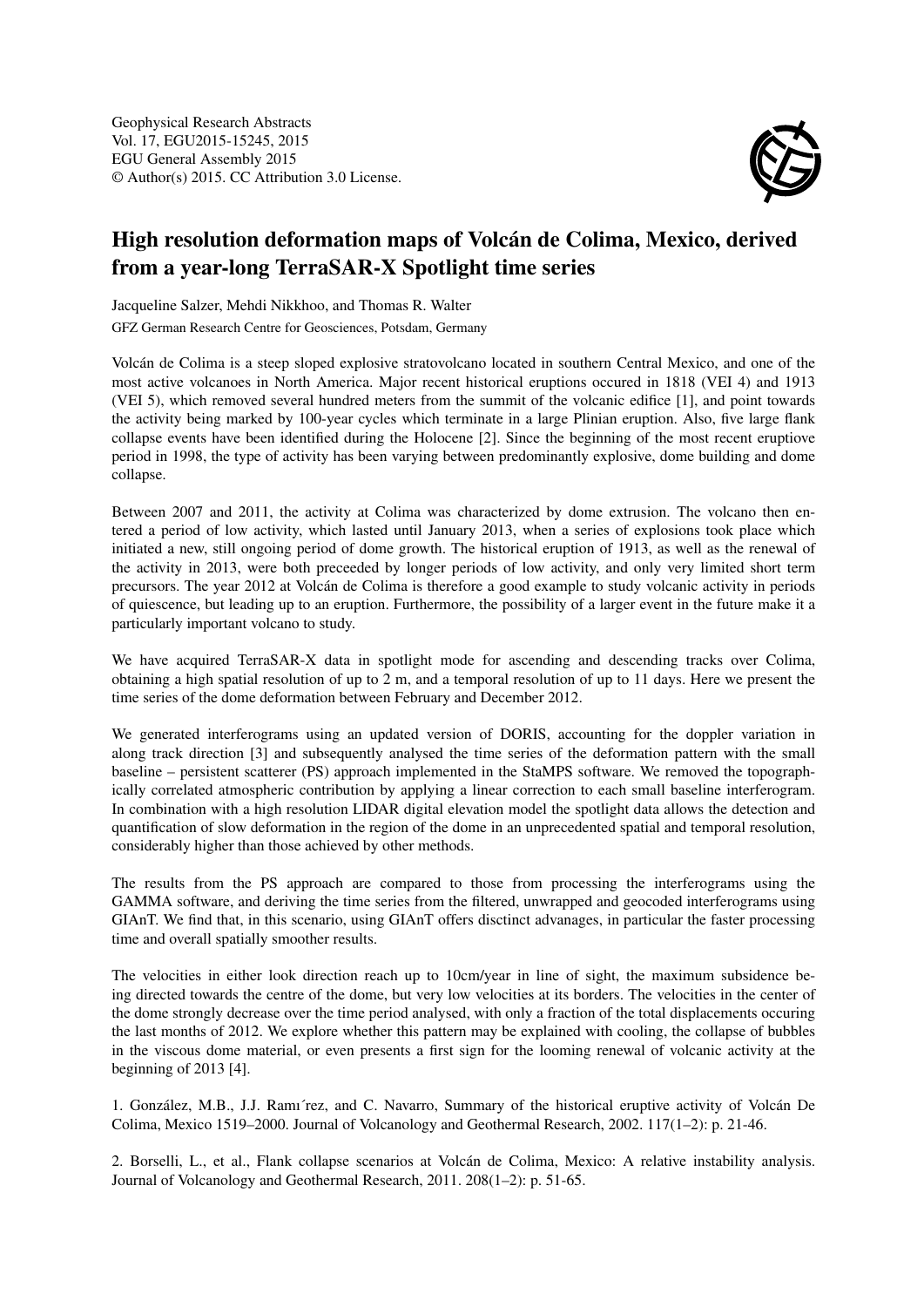

## High resolution deformation maps of Volcán de Colima, Mexico, derived from a year-long TerraSAR-X Spotlight time series

Jacqueline Salzer, Mehdi Nikkhoo, and Thomas R. Walter GFZ German Research Centre for Geosciences, Potsdam, Germany

Volcán de Colima is a steep sloped explosive stratovolcano located in southern Central Mexico, and one of the most active volcanoes in North America. Major recent historical eruptions occured in 1818 (VEI 4) and 1913 (VEI 5), which removed several hundred meters from the summit of the volcanic edifice [1], and point towards the activity being marked by 100-year cycles which terminate in a large Plinian eruption. Also, five large flank collapse events have been identified during the Holocene [2]. Since the beginning of the most recent eruptiove period in 1998, the type of activity has been varying between predominantly explosive, dome building and dome collapse.

Between 2007 and 2011, the activity at Colima was characterized by dome extrusion. The volcano then entered a period of low activity, which lasted until January 2013, when a series of explosions took place which initiated a new, still ongoing period of dome growth. The historical eruption of 1913, as well as the renewal of the activity in 2013, were both preceeded by longer periods of low activity, and only very limited short term precursors. The year 2012 at Volcán de Colima is therefore a good example to study volcanic activity in periods of quiescence, but leading up to an eruption. Furthermore, the possibility of a larger event in the future make it a particularly important volcano to study.

We have acquired TerraSAR-X data in spotlight mode for ascending and descending tracks over Colima, obtaining a high spatial resolution of up to 2 m, and a temporal resolution of up to 11 days. Here we present the time series of the dome deformation between February and December 2012.

We generated interferograms using an updated version of DORIS, accounting for the doppler variation in along track direction [3] and subsequently analysed the time series of the deformation pattern with the small baseline – persistent scatterer (PS) approach implemented in the StaMPS software. We removed the topographically correlated atmospheric contribution by applying a linear correction to each small baseline interferogram. In combination with a high resolution LIDAR digital elevation model the spotlight data allows the detection and quantification of slow deformation in the region of the dome in an unprecedented spatial and temporal resolution, considerably higher than those achieved by other methods.

The results from the PS approach are compared to those from processing the interferograms using the GAMMA software, and deriving the time series from the filtered, unwrapped and geocoded interferograms using GIAnT. We find that, in this scenario, using GIAnT offers disctinct advanages, in particular the faster processing time and overall spatially smoother results.

The velocities in either look direction reach up to 10cm/year in line of sight, the maximum subsidence being directed towards the centre of the dome, but very low velocities at its borders. The velocities in the center of the dome strongly decrease over the time period analysed, with only a fraction of the total displacements occuring the last months of 2012. We explore whether this pattern may be explained with cooling, the collapse of bubbles in the viscous dome material, or even presents a first sign for the looming renewal of volcanic activity at the beginning of 2013 [4].

1. González, M.B., J.J. Ramı´rez, and C. Navarro, Summary of the historical eruptive activity of Volcán De Colima, Mexico 1519–2000. Journal of Volcanology and Geothermal Research, 2002. 117(1–2): p. 21-46.

2. Borselli, L., et al., Flank collapse scenarios at Volcán de Colima, Mexico: A relative instability analysis. Journal of Volcanology and Geothermal Research, 2011. 208(1–2): p. 51-65.